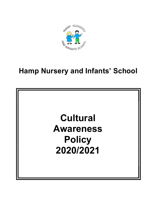

# Hamp Nursery and Infants' School

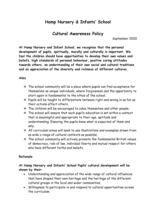## Hamp Nursery & Infants' School

## Cultural Awareness Policy

September 2020

At Hamp Nursery and Infant School, we recognise that the personal development of pupils, spiritually, morally and culturally is important. We feel the children should have opportunities to develop their own values and beliefs, high standards of personal behaviour, positive caring attitudes towards others, an understanding of their own social and cultural traditions and an appreciation of the diversity and richness of different cultures.

#### Aims

- $\cdot \cdot$  The school community will be a place where pupils can find acceptance for themselves as unique individuals, where forgiveness and the opportunity to start again is fundamental to the ethos of the school.
- $\div$  Pupils will be taught to differentiate between right and wrong in as far as their actions affect others.
- $\cdot$  The children will be encouraged to value themselves and other people.
- The school will ensure that each pupil's education is set within a context that is meaningful and appropriate to their age, aptitude and understanding. Ensuring the pupils know what is expected of them and why.
- All curriculum areas will seek to use illustrations and examples drawn from as wide a range of cultural contexts as possible.
- $\cdot$  The school community will actively promote the fundamental British values of democracy, rule of law, individual liberty and mutual respect for others who have different faiths and beliefs.

#### Rationale

#### At Hamp Nursery and Infants' School Pupils' cultural development will be shown by their:

- Understanding and appreciation of the wide range of cultural influences that have shaped their own heritage and the heritage of the different cultural groups in the local and wider communities.
- Willingness to participate in and respond to cultural opportunities across the curriculum.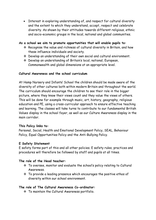• Interest in exploring understanding of, and respect for cultural diversity and the extent to which they understand, accept, respect and celebrate diversity. As shown by their attitudes towards different religious, ethnic and socio-economic groups in the local, national and global communities.

#### As a school we aim to promote opportunities that will enable pupils to:

- Recognise the value and richness of cultural diversity in Britain, and how these influence individuals and society.
- Develop an understanding of their own social and cultural environment.
- Develop an understanding of Britain's local, national, European, Commonwealth and global dimensions at an appropriate level.

#### Cultural Awareness and the school curriculum

At Hamp Nursery and Infants' School the children should be made aware of the diversity of other cultures both within modern Britain and throughout the world. The curriculum should encourage the children to see their role in the bigger picture, where they know their views count and they value the views of others. This will be done for example through music, art, history, geography, religious education and PE, using a cross-curricular approach to ensure effective teaching and learning. The classes will take turns to contribute to our fundamental British Values display in the school foyer, as well as our Culture Awareness display in the main corridor.

#### This Policy links to:

Personal, Social, Health and Emotional Development Policy, SEAL, Behaviour Policy, Equal Opportunities Policy and the Anti-Bullying Policy.

#### E Safety Statement

E safety forms part of this and all other policies. E safety rules, practices and procedures will therefore be followed by staff and pupils at all times.

#### The role of the Head teacher:

- To oversee, monitor and evaluate the school's policy relating to Cultural Awareness.
- $\cdot$  To provide a leading presence which encourages the positive ethos of diversity within our school environment.

#### The role of The Cultural Awareness Co-ordinator:

\* To maintain the Cultural Awareness portfolio.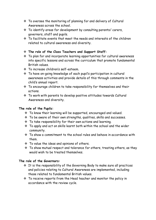- To oversee the monitoring of planning for and delivery of Cultural Awareness across the school.
- $\cdot$  To identify areas for development by consulting parents/ carers, governors, staff and pupils.
- $\cdot$  To facilitate events that meet the needs and interests of the children related to cultural awareness and diversity.

#### The role of the Class Teachers and Support Staff:

- To plan for and incorporate learning opportunities for cultural awareness into specific lessons and across the curriculum that promote fundamental British values.
- To increase children's self-esteem.
- To have on-going knowledge of each pupil's participation in cultural awareness activities and provide details of this through comments in the child's annual report.
- $\cdot$  To encourage children to take responsibility for themselves and their actions.
- To work with parents to develop positive attitudes towards Cultural Awareness and diversity.

#### The role of the Pupils:

- To know their learning will be supported, encouraged and valued.
- To be aware of their own strengths, qualities, skills and successes.
- $\div$  To take responsibility for their own actions and learning.
- To apply and act on skills learnt both within the school and the wider community.
- $\cdot$  To show a commitment to the school rules and behave in accordance with them.
- \* To value the ideas and opinions of others.
- \* To show mutual respect and tolerance for others, treating others, as they would wish to be treated themselves.

#### The role of the Governors:

- $\div$  It is the responsibility of the Governing Body to make sure all practices and policies relating to Cultural Awareness are implemented, including those related to fundamental British values.
- $\cdot$  To receive reports from the Head teacher and monitor the policy in accordance with the review cycle.